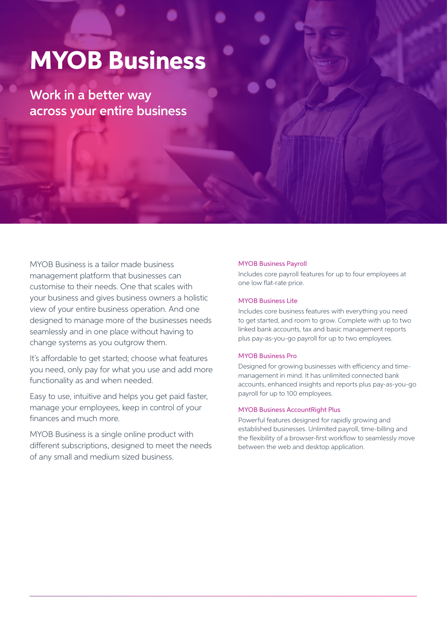# MYOB Business

Work in a better way across your entire business

MYOB Business is a tailor made business management platform that businesses can customise to their needs. One that scales with your business and gives business owners a holistic view of your entire business operation. And one designed to manage more of the businesses needs seamlessly and in one place without having to change systems as you outgrow them.

It's affordable to get started; choose what features you need, only pay for what you use and add more functionality as and when needed.

Easy to use, intuitive and helps you get paid faster, manage your employees, keep in control of your finances and much more.

MYOB Business is a single online product with different subscriptions, designed to meet the needs of any small and medium sized business.

# MYOB Business Payroll

Includes core payroll features for up to four employees at one low flat-rate price.

# MYOB Business Lite

Includes core business features with everything you need to get started, and room to grow. Complete with up to two linked bank accounts, tax and basic management reports plus pay-as-you-go payroll for up to two employees.

# MYOB Business Pro

Designed for growing businesses with efficiency and timemanagement in mind. It has unlimited connected bank accounts, enhanced insights and reports plus pay-as-you-go payroll for up to 100 employees.

#### MYOB Business AccountRight Plus

Powerful features designed for rapidly growing and established businesses. Unlimited payroll, time-billing and the flexibility of a browser-first workflow to seamlessly move between the web and desktop application.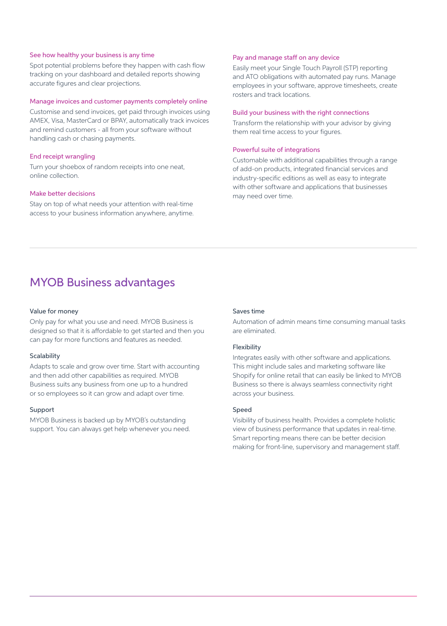# See how healthy your business is any time

Spot potential problems before they happen with cash flow tracking on your dashboard and detailed reports showing accurate figures and clear projections.

#### Manage invoices and customer payments completely online

Customise and send invoices, get paid through invoices using AMEX, Visa, MasterCard or BPAY, automatically track invoices and remind customers - all from your software without handling cash or chasing payments.

# End receipt wrangling

Turn your shoebox of random receipts into one neat, online collection.

# Make better decisions

Stay on top of what needs your attention with real-time access to your business information anywhere, anytime.

#### Pay and manage staff on any device

Easily meet your Single Touch Payroll (STP) reporting and ATO obligations with automated pay runs. Manage employees in your software, approve timesheets, create rosters and track locations.

#### Build your business with the right connections

Transform the relationship with your advisor by giving them real time access to your figures.

## Powerful suite of integrations

Customable with additional capabilities through a range of add-on products, integrated financial services and industry-specific editions as well as easy to integrate with other software and applications that businesses may need over time.

# MYOB Business advantages

# Value for money

Only pay for what you use and need. MYOB Business is designed so that it is affordable to get started and then you can pay for more functions and features as needed.

#### **Scalability**

Adapts to scale and grow over time. Start with accounting and then add other capabilities as required. MYOB Business suits any business from one up to a hundred or so employees so it can grow and adapt over time.

#### Support

MYOB Business is backed up by MYOB's outstanding support. You can always get help whenever you need.

# Saves time

Automation of admin means time consuming manual tasks are eliminated.

#### Flexibility

Integrates easily with other software and applications. This might include sales and marketing software like Shopify for online retail that can easily be linked to MYOB Business so there is always seamless connectivity right across your business.

#### Speed

Visibility of business health. Provides a complete holistic view of business performance that updates in real-time. Smart reporting means there can be better decision making for front-line, supervisory and management staff.